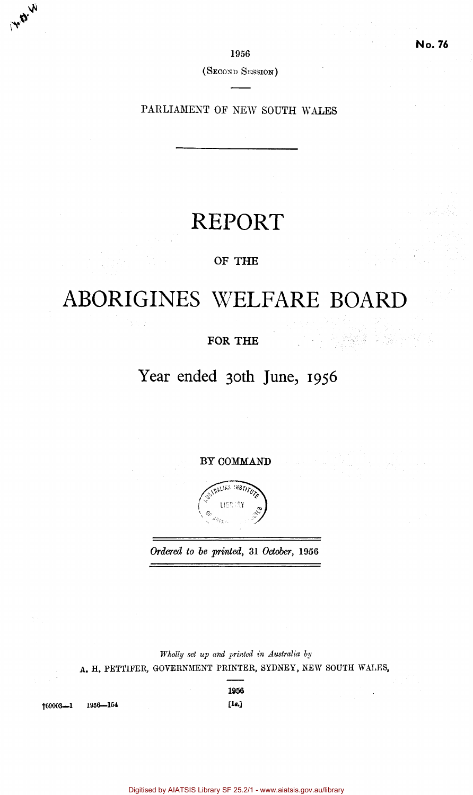1956

(SECOND SESSION)

PARLIAMENT OF NEW SOUTH WALES

# REPORT

# OF **THE**

# ABORIGINES WELFARE BOARD

# **FOR THE**

# Year ended 30th June, 1956

BY COMMAND



*Ordered to he printed,* 31 *October,* 1956

*Wholly set up and printed in Australia by*  A. H. PETTIFER, GOVERNMENT PRINTER, SYDNEY, NEW SOUTH WALES,

1956

69003—1 1956—154 [1\*.]

Ŵ

H.B.

Digitised by AIATSIS Library SF 25.2/1 - www.aiatsis.gov.au/library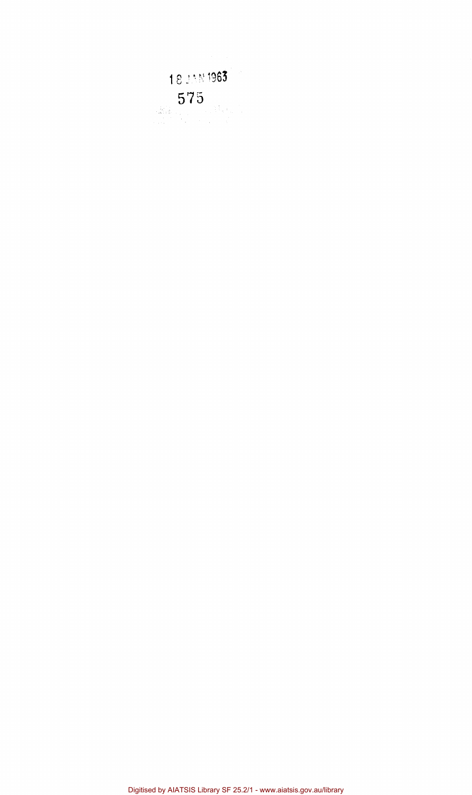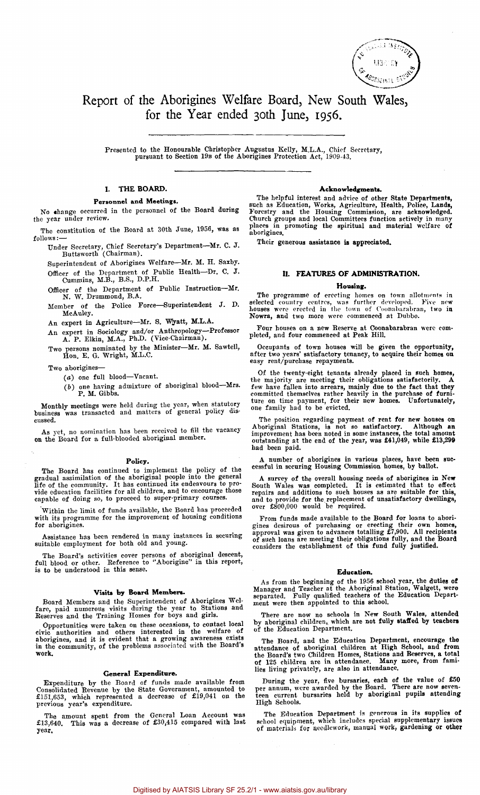

# Report of the Aborigines Welfare Board, New South Wales, for the Year ended 30th June, 1956.

Presented to the Honourable Christopher Augustus Kelly, M.L.A., Chief Secretary, pursuant to Section 19B of the Aborigines Protection Act, 1909-43.

### I. **THE BOARD.**

#### Personnel **and Meetings.**

No change occurred in the personnel of the Board during the year under review.

The constitution of the Board at 30th June, 1956, was as follows:—

Under Secretary, Chief Secretary's Department—Mr. C. J. Buttsworth (Chairman).

Superintendent of Aborigines Welfare—Mr. M. H. Saxby. Officer of the Department of Public Health-Dr. C. J. Cummins, M.B., B.S., D.P.H.

 $C$ ummins,  $m.B., B.$  $\frac{1}{N}$  Officer of the Department of Public Instruction—Mr.

 $\overline{\mathbf{A}}$  of the Police  $\overline{\mathbf{B}}$ MeAuley.

An expert in Agriculture-Mr. S. Wyatt, M.L.A.

An expert in Sociology and/or Anthropology- $P$ . A. P. Elkin, M.A., Ph.D. (Vice-Chairman).

persons nominated by the Minister-Mr. M. Hon, E. G. Wright, M.B.C.

Two aborigines-

 $(a)$  one full blood-Vacant.

 $(5)$  one having admixture of  $P. M. Gibbs.$ 

P. M. Gibbs. Monthly meetings were held during the year, when statutory business was transacted and matters of general policy discussed.

As yet, no nomination has been received to fill the vacancy on the Board for a full-blooded aboriginal member.

### **Policy.**

The Board has continued to implement the policy of the gradual assimilation of the aboriginal people into the general life of the community. It has continued its endeavours to pro-<br>vide education facilities for all childre

Within the limit of funds available, the Board has proceeded with its programme for the improvement of housing conditions for aborigines.

Assistance has been rendered in many instances in securing suitable employment for both old and young.

The Board's activities cover persons of aboriginal descent, full blood or other. Reference to "Aborigine" in this report, is to be understood in this sense.

## **Visits by Board Members.**

Board Members and the Superintendent of Aborigines Wel-fare, paid numerous visits during the year to Stations and Reserves and the Training Homes for boys and girls.

Opportunities were taken on these occasions, to contact local<br>civic authorities and others interested in the welfare of<br>aborigines, and it is evident that a growing awareness exists<br>in the community, of the problems associ work.

#### General **Expenditure.**

Expenditure by the Board of funds made available from Consolidated Revenue by the State Government, amounted to £151,653, which represented a decrease of £19,041 on the previous year's expenditure.

The amount spent from the General Loan Account was £13,640. This was a decrease of £30,415 compared with last year.

#### **Acknowledgments.**

The helpful interest and advice of other State Departments,<br>such as Education, Works, Agriculture, Health, Police, Lands,<br>Forestry and the Housing Commission, are acknowledged.<br>Church groups and local Committees function a

Their generous assistance is appreciated.

#### **II. FEATURES OF ADMINISTRATION.**

#### **Housing.**

The programme of erecting homes on town allotments in selected country centres, was further developed. Five new houses were erected in the town of Coonabarabran, two in Nowra, and two more were commenced at Dubbo.

Four houses on a new Reserve at Coonabarabran were com-pleted, and four commenced at Peak Hill.

Occupants of town houses will be given the opportunity, after two years' satisfactory tenancy, to acquire their homes on easy rent/purchase repayments.

Of the twenty-eight tenants already placed in such homes,<br>the majority are meeting their obligations satisfactorily. A<br>few have fallen into arrears, mainly due to the fact that they<br>committed themselves rather heavily in t

The position regarding payment of rent for new houses on Aboriginal Stations, is not so satisfactory. Although an above improvement has been noted in some instances, the total amount outstanding at the end of the year, wa had been paid.

A number of aborigines in various places, have been suc-cessful in securing Housing Commission homes, by ballot.

A survey of the overall housing needs of aborigines in New South Wales was completed. It is estimated that to effect repairs and additions to such houses as are suitable for this, and to provide for the replacement of unsa

From funds made available to the Board for loans to aborigines desirous of purchasing or erecting their own homes, approval was given to advances totalling £7,900. All recipients of such loans are meeting their obligations

#### **Education.**

As from the beginning of the 1956 school year, the duties of Manager and Teacher at the Aboriginal Station, Walgett, were separated. Fully qualified teachers of the Education Department were then appointed to this school.

There are now no schools in New South Wales, attended by aboriginal children, which are not fully staffed by teachers of the Education Department.

The Board, and the Education Department, encourage the attendance of aboriginal children at High School, and from the Board's two Children Homes, Stations and Reserves, a total of 125 children in a thendance. Many more, fr

During the year, five bursaries, each of the value of £50 per annum, were awarded by the Board. There are now seven-teen current bursaries held by aboriginal pupils attending High Schools.

The Education Department is generous in its supplies of school equipment, which includes special supplementary issues of materials for needlework, manual work, gardening or other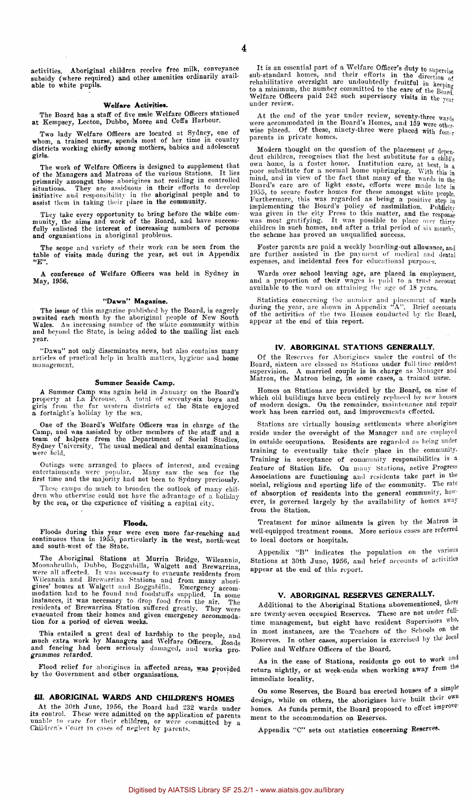activities. Aboriginal children receive free milk, conveyance subsidy (where required) and other amenities ordinarily available to white pupils.

#### **Welfare Activities.**

The Board has a staff of five male Welfare Officers stationed at Kempsey, Leeton, Dubbo, Moree and Coffs Harbour.

Two lady Welfare Officers are located at Sydney, one of whom, a trained nurse, spends most of her time in country districts working chiefly among mothers, babies and adolescent girls.

The work of Welfare Officers is designed to supplement that<br>of the Managers and Matrons of the various Stations. It lies<br>primarily amongst those aborigines not residing in controlled<br>situations. They are assiduous in their

They take every opportunity to bring before the white com-<br>munity, the aims and work of the Board, and have success-<br>fully enlisted the interest of increasing numbers of persons<br>and organisations in aboriginal problems.

The scope and variety of their work can be seen from the table of visits made during the year, set out in Appendix "E".

A conference of Welfare Officers was held in Sydney in May, 1956.

# "Dawn" Magazine.

The issue of this magazine published by the Board, is eagerly awaited each month by the aboriginal people of New South Wales.<br>Wales. An increasing number of the white community within<br>and beyond the State, is being added t year.

"Dawn" not only disseminates news, but also contains many articles of practical help in health matters, hygiene and home management.

#### Summer Seaside Camp.

A Summer Camp was again held in January on the Board's property at La Perouse. A total of seventy-six boys and girls from the far western districts of the State enjoyed a fortnight's holiday by the sea.

One of the Board's Welfare Officers was in charge of the Camp, and was assisted by other members of the staff and a team of helpers from the Department of Social Studies, Sydney University. The usual medical and dental exa were held.

Outings were arranged to places of interest, and evening entertainments were popular. Many saw the sea for the first time and the majority had not been to Sydney previously.

These camps do much to broaden the outlook of many children who otherwise could not have the advantage of a holiday by the sea, or the experience of visiting a capital city.

#### **Floods.**

Floods during this year were even more far-reaching and continuous than in 1955, particularly in the west, north-west and south-west of the State.

The Aboriginal Stations at Murrin Bridge, Wilcannia, Moonaheullah, Dubbo, Boggabilla, Walgett and Brewarrina, were all affected. It was necessary to evacuate residents from Moonaheullah, Dubbo, Boggabilla, Walgett and Brewarrina,<br>were all affected. It was necessary to evacuate residents from<br>Wilcannia and Brewarrina Stations and from many abori-<br>gines' homes at Walgett and Boggabilla. Emergen

This entailed a great deal of hardship to the people, and<br>much extra work by Managers and Welfare Officers. Roads<br>and fencing had been seriously damaged, and works programmes retarded.

Flood relief for aborigines in affected areas, was provided by the Government and other organisations.

### **III. ABORIGINAL WARDS AND CHILDREN'S HOMES**

At the 30th June, 1956, the Board had 232 wards under<br>its control. These were admitted on the application of parents<br>unable to care for their children, or were committed by a<br>Children's Court in cases of neglect by parents

It is an essential part of a Welfare Officer's duty to supervise sub-standard homes, and their efforts in the direction of<br>rehabilitative oversight are undoubtedly fruitful in keeping<br>to a minimum, the number committed to the care of the Board,<br>Welfare Officers paid 242 such supervisor under review.

At the end of the year under review, seventy-three  $warg_i$  were accommodated in the Board's Homes, and 159 were other. wise placed. Of these, ninety-three were placed with foster parents in private homes.

Modern thought on the question of the placement of dependent children, recognises that the best substitute for a child's poor nubstitute for a normal home upbringing. With this in mind, and in view of the fact that many o

Foster parents are paid a weekly boarding-out allowance, and are further assisted in the payment of medical and dental expenses, and incidental fees for educational purposes.

Wards over school leaving age, are placed in employment, and a proportion of their wages is paid to a trust account available to the ward on attaining the age of 18 years.

Statistics concerning the number and placement of wards during the year, are shown in Appendix "A". Brief accounts of the activities of the two Homes conducted by the Board, appear at the end of this report.

#### **IV. ABORIGINAL** STATIONS **GENERALLY.**

Of the Reserves for Aborigines under the control of the Board, sixteen are classed as Stations under full-time resident supervision. A married couple is in charge as Manager and Matron, the Matron being, in some cases, a trained nurse.

Homes on Stations are provided by the Board, on nine of which old buildings have been entirely replaced by new houses of modern design. On the remainder, maintenance and repair work has been carried out, and improvements e

Stations are virtually housing settlements where aborigines reside under the oversight of the Manager and are employed in outside occupations. Residents are regarded as being under training to eventually take their place in the community. Training in acceptance of community responsibilities is a feature of Station life. On many Stations, active Progress Associations are functioning and residents take part in the social, religious and sporting life of the community. The rate of absorption of residents into the general community, however, is governed largely by the availability of homes away from the Station.

Treatment for minor ailments is given by the Matron in well-equipped treatment rooms. More serious cases are referred to local doctors or hospitals.

Appendix "B" indicates the population on the various Stations at 30th June, 1956, and brief accounts of activities appear at the end of this report.

#### **V. ABORIGINAL RESERVES GENERALLY.**

Additional to the Aboriginal Stations abovementioned, there are twenty-seven occupied Reserves. These are not under full time management, but eight have resident Supervisors who, in most instances, are the Teachers of the Schools on the Reserves. In other eases, supervision is exercised by the local. Police and Welfare Officers of the Board.

As in the case of Stations, residents go out to work and return nightly, or at week-ends when working away from the immediate locality.

On some Reserves, the Board has erected houses of a simple design, while on others, the aborigines have built their own homes. As funds permit, the Board proposed to effect improvement to the accommodation on Reserves.

Appendix "C" sets out statistics concerning Reserves.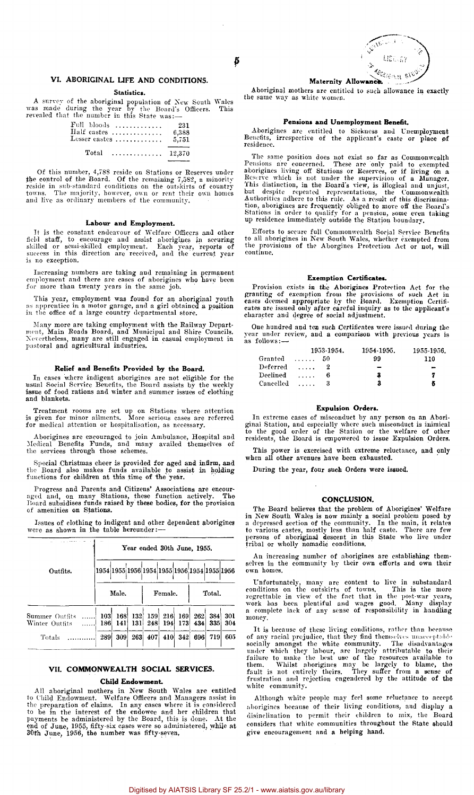

### **VI. ABORIGINAL LIFE AND CONDITIONS.**

#### Statistics.

A survey of the aboriginal population of New South Wales was made during the year by the Board's Officers. This revealed that the number in this State was:—

|       | $Full$ bloods                                                    | -231  |
|-------|------------------------------------------------------------------|-------|
|       | $\operatorname{Half \; cases \; \ldots, \ldots, \ldots, \ldots}$ | 6,388 |
|       | ${\rm Lesser\,\,cases}\,\, \ldots \ldots \ldots \ldots$          | 5,751 |
| Total | $\dots \dots \dots \dots \dots \dots \quad 12.370$               |       |

Of this number, 4,788 reside on Stations or Reserves under<br>the control of the Board. Of the remaining 7,582, a minority<br>reside in sub-standard conditions on the outskirts of country<br>towns. The majority, however, own or ren and live as ordinary members of the community.

# **Labour and Employment.**

It is the constant endeavour of Welfare Officers and other field staff, to encourage and assist aborigines in securing skilled or semi-skilled proportional starting states of the success in this direction are received, and is no exception.

Increasing numbers are taking and remaining in permanent employment and there are cases of aborigines who have been for more than twenty years in the same job.

This year, employment was found for an aboriginal youth as apprentice in a motor garage, and a girl obtained a position in the office of a large country departmental store.

Many more are taking employment with the Railway Depart-ment, Main Roads Board, and Municipal and Shire Councils. Nevertheless, many are still engaged in casual employment in pastoral and agricultural industries.

#### **Relief and Benefits Provided by the Board.**

In eases where indigent aborigines are not eligible for the usual Social Service Benefits, the Board assists by the weekly issue of food rations and winter and summer issues of clothing and blankets.

Treatment rooms are set up on Stations where attention is given for minor ailments. More serious cases are referred for medical attention or hospitalisation, as necessary.

Aborigines are encouraged to join Ambulance, Hospital and Medical Benefits Funds, and many availed themselves of the services through those schemes.

Special Christmas cheer is provided for aged and infirm, and the Board also makes funds available to assist in holding functions for children at this time of the year.

Progress and Parents and Citizens' Associations are encouraged and, on many Stations, these function actively. The Board subsidises funds raised by these bodies, for the provision of amenities on Stations.

Issues of clothing to indigent and other dependent aborigines were as shown in the table hereunder:—

|                                  | Year ended 30th June, 1955.                  |            |     |                                |                  |     |        |     |            |  |  |  |
|----------------------------------|----------------------------------------------|------------|-----|--------------------------------|------------------|-----|--------|-----|------------|--|--|--|
| Outfits.                         | 1954 1955 1956 1954 1955 1956 1954 1955 1956 |            |     |                                |                  |     |        |     |            |  |  |  |
|                                  |                                              | Male.      |     |                                | Female.          |     | Total. |     |            |  |  |  |
| Summer Outfits<br>Winter Outfits | 103<br>186                                   | 168<br>141 | 131 | 132 159 216 169 262 384<br>248 | 194 <sup>°</sup> | 173 | 434    | 335 | 301<br>304 |  |  |  |
| Totals                           | 289                                          | 309        | 263 | 407                            | 410              | 342 | 696    | 719 | 605        |  |  |  |

#### **VII. COMMONWEALTH SOCIAL SERVICES.**

#### **Child Endowment.**

All aboriginal mothers in New South Wales are entitled to Child Endowment. Welfare Officers and Managers assist in the preparation of claims. In any cases where it is considered<br>to be in the interest of the endowee and her children that<br>payments be administered by the Board, this is done. At the<br>end of June, 1955, fifty-six cases were

Aboriginal mothers are entitled to such allowance in exactly the same way as white women.

#### **Pensions and Unemployment Benefit.**

Aborigines are entitled to Sickness and Unemployment Benefits, irrespective of the applicant's caste or place of residence.

The same position does not exist so far as Commonwealth<br>Pensions are concerned. These are only paid to exempted<br>aborigines living off Stations or Reserves, or if living on a<br>Reserve which is not under the supervision of a

Efforts to secure full Commonwealth Social Service Benefits to all aborigines in New South Wales, whether exempted from the provisions of the Aborgines Protection Act or not, will continue.

#### **Exemption Certificates.**

Provision exists in the Aborigines Protection Act for the granting of exemption from the provisions of such Act in cases deemed appropriate by the Board. Exemption Certificates are issued only after careful inquiry as to t

One hundred and ten such Certificates were issued during the year under review, and a comparison with previous years is as follows:—

|           |          | 1953-1954. | 1954-1955. | 1955-1956. |
|-----------|----------|------------|------------|------------|
| Granted   | .        | 50         | 99         | 110        |
| Deferred  | $\cdots$ |            | -          |            |
| Declined  | 1.1.1.1  |            | З          | 7          |
| Cancelled | 1.1.1.1  |            | 3          | Б          |

#### **Expulsion Orders.**

In extreme cases of misconduct by any person on an Aboriginal Station, and especially where such misconduct is imimical to the pool order of the Station or the welfare of other residents, the Board is empowered to issue Ex

This power is exercised with extreme reluctance, and only when all other avenues have been exhausted.

During the year, four such Orders were issued.

#### **CONCLUSION.**

The Board believes that the problem of Aborigines' Welfare in New South Wales is now mainly a social problem posed by<br>a depressed section of the community. In the main, it relates<br>to various castes, mostly less than half caste. There are few<br>persons of aboriginal descent in this S

An increasing number of aborigines are establishing them-selves in the community by their own efforts and own their own homes.

Unfortunately, many are content to live in substandard<br>conditions on the outskirts of towns. This is the more<br>regrettable in view of the fact that in the post-war years,<br>work has been plentiful and wages good. Many display money.

It is because of these living conditions, rather than because<br>of any racial prejudice, that they find thenselves unacceptable<br>socially amongst the white community. The disadvantages<br>under which they labour, are largely att white community.

Although white people may feel some reluctance to accept aborigines because of their living conditions, and display a disinclination to permit their children to mix, the Board considers that white communities throughout the State should give encouragement and a helping hand.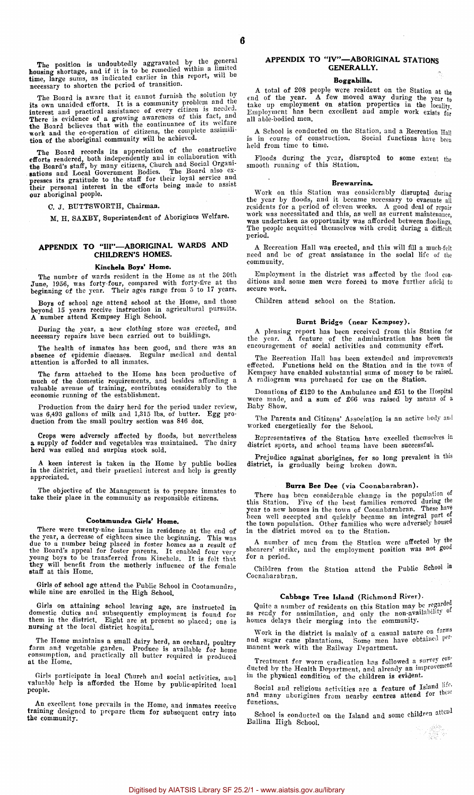The position is undoubtedly aggravated by the general<br>housing shortage, and if it is to be remedied within a limited<br>time, large sums, as indicated earlier in this report, will be<br>necessary to shorten the period of transit

The Board is aware that it cannot furnish the solution by<br>its own unaided efforts. It is a community problem and the<br>interest and practical assistance of every citizen is needed.<br>There is evidence of a growing awareness of

The Board records its appreciation of the constructive<br>efforts rendered, both independently and in collaboration with<br>the Board's staff, by many citizens, Church and Social Organi-<br>sations and Local Government Bodies. The

C. J. BUTTSWORTH, Chairman.

M. H. SAXBY, Superintendent of Aborigines Welfare.

#### APPENDIX TO "III"—ABORIGINAL WARDS AND CHILDREN'S HOMES.

#### Kinchela Boys' Home.

The number of wards resident in the Home as at the 30th June, 1956, was forty-four, compared with forty-five at the beginning of the year. Their ages range from 5 to 17 years.

Boys of school age attend school at the Home, and those beyond 15 years receive instruction in agricultural pursuits. A number attend Kempsey High School.

During the year, a new clothing store was erected, and necessary repairs have been carried out to buildings.

The health of inmates has been good, and there was an absence of epidemic diseases. Regular medical and dental attention is afforded to all inmates.

The farm attached to the Home has been productive of much of the domestic requirements, and besides affording a valuable avenue of training, contributes considerably to the economic running of the establishment.

Production from the dairy herd for the period under review, was 6,493 gallons of milk and 1,315 lbs. of butter. Egg production from the small poultry section was 846 doz.

Crops were adversely affected by floods, but nevertheless a supply of fodder and vegetables was maintained. The dairy herd was culled and surplus stock sold.

A keen interest is taken in the Home by public bodies in the district, and their practical interest and help is greatly appreciated.

The objective of the Management is to prepare inmates to take their place in the community as responsible citizens.

#### Cootamundra Girls' Home.

There were twenty-nine inmates in residence at the end of<br>the year, a decrease of eighteen since the beginning. This was<br>due to a number being placed in foster homes as a result of<br>the Board's appeal for foster parents. It

Girls of school age attend the Public School in Cootamundra, while nine are enrolled in the High School.

Girls on attaining school leaving age, are instructed in domestic duties and subsequently employment is found for them in the district. Eight are at present so placed; one is nursing at the local district hospital.

The Home maintains a small dairy herd, an orchard, poultry farm and vegetable garden. Produce is available for home consumption, and practically all butter required is produced at the Home.

Girls participate in local Church and social activities, and valuable help is afforded the Home by public-spirited local people.

An excellent tone prevails in the Home, and inmates receive training designed to prepare them for subsequent entry into the community.

#### APPENDIX TO "IV"—ABORIGINAL STATIONS GENERALLY.

#### Boggabilla.

A total of 208 people were resident on the Station at the end of the year. A few moved away during the year to take up employment on station properties in the locality.<br>Employment has been excellent and ample work exists for all able-bodied men.

A School is conducted on the Station, and a Recreation  $H_{all}$  is in course of construction. Social functions have been A Senon is conducted on the<br>is in course of construction.<br>held from time to time.

Floods during the year, disrupted to some extent the smooth running of this Station.

#### Brewarrina.

Work on this Station was considerably disrupted during the year by floods, and it became necessary to evacuate all rcsidents for a period of cleven weeks. A good deal of repair<br>work was necessitated and this, as well as current maintenance,<br>was undertaken as opportunity was afforded between floodings.<br>The people acquitted themselves wi period.

A Recreation Hall was erected, and this will fill a much-felt need and be of great assistance in the social life of the community.

Employment in the district was affected by the flood con-ditions and some men were forced to move further afield to secure work.

Children attend school on the Station.

#### Burnt Bridge (near Kempsey).

A pleasing report has been received from this Station for the year. A feature of the administration has been the encouragement of social activities and community effort.

The Recreation Hall has been extended and improvements<br>effected. Functions held on the Station and in the town of<br>Kempsey have enabled substantial sums of money to be raised.<br>A radiogram was purchased for use on the Statio

Donations of £120 to the Ambulance and £51 to the Hospital were made, and a sum of £66 was raised by means of a Baby Show.

The Parents and Citizens' Association is an active body and worked energetically for the School.

Representatives of the Station have excelled themselves in district sports, and school teams have been successful.

Prejudice against aborigines, for so long prevalent in this district, is gradually being broken down.

#### Burra Bee Dee (via Coonabarabran).

There has been considerable change in the population of<br>this Station. Five of the best families removed during the<br>year to new houses in the town of Coomabarabran. These have<br>been well accepted and quickly became an integr

A number of men from the Station were affected by the shearers' strike, and the employment position was not good for a period.

Children from the Station attend the Public School in Coonabarabran.

#### Cabbage Tree Island (Richmond River).

Quite a number of residents on this Station may be regarded as ready for assimilation, and only the non-availability of homes delays their merging into the community.

Work in the district is mainly of a casual nature on farms and sugar cane plantations. Some men have obtained  $P^{\mu\nu}$ manent work with the Railway Department.

Treatment for worm eradication has followed a survey conducted by the Health Department, and already an improvement in the physical condition of the children is evident.

Social and religious activities are a feature of Island life. and many aborigines from nearby centres attend for these<br>functions. functions.

School is conducted on the Island and some children attend Ballina High School.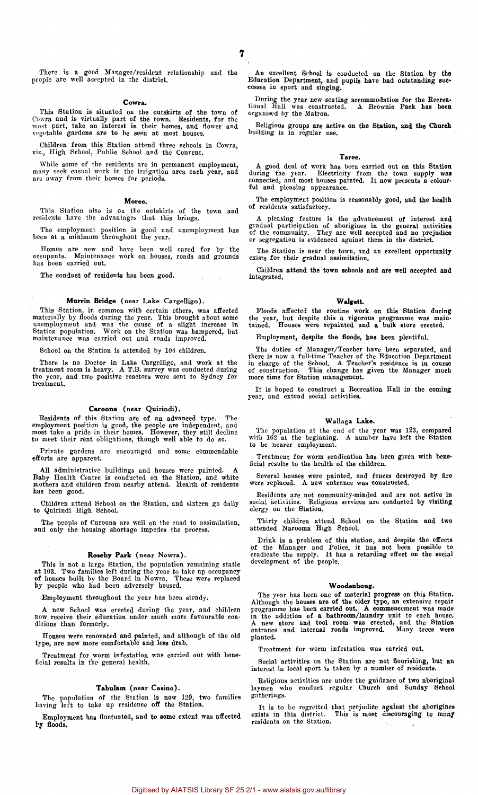$\omega = \pm \pm \infty$ 

There is a good Manager/resident relationship and the people are well accepted in the district.

#### Cowra.

This Station is situated on the outskirts of the town of Cowra and is virtually part of the town. Residents, for the most part, take an interest in their homes, and flower and regetable gardens are to be seen at most house

Children from this Station attend three schools in Cowra, viz., High School, Public School and the Convent.

While some of the residents are in permanent employment, many seek casual work in the irrigation area each year, and are away from their homes for periods.

#### Moree.

This Station also is on the outskirts of the town and residents have the advantages that this brings.

The employment position is good and unemployment has been at a minimum throughout the year.

Homes are new and have been well cared for by the occupants. Maintenance work on houses, roads and grounds has been carried out.

The conduct of residents has been good.

#### Murrin Bridge (near Lake Cargelligo).

This Station, in common with certain others, was affected materially by floods during the year. This brought about some unemployment and was the cause of a slight increase in Station population. Work on the Station was hampered, but maintenance was carried out and roads improved.

School on the Station is attended by 104 children.

There is no Doctor in Lake Cargelligo, and work at the treatment room is heavy. A T.B. survey was conducted during the year, and two positive reactors were sent to Sydney for treatment.

#### Caroona (near Quirindi).

Residents of this Station are of an advanced type. The employment position is good, the people are independent, and most take a pride in their homes. However, they still decline to meet their rent obligations, though well able to do so.

Private gardens are encouraged and some commendable efforts are apparent.

All administrative buildings and houses were painted. A Baby Health Centre is conducted on the Station, and white mothers and children from nearby attend. Health of residents has been good.

Children attend School on the Station, and sixteen go daily to Quirindi High School.

The people of Caroona are well on the road to assimilation, and only the housing shortage impedes the process.

#### Roseby Park (near Nowra).

This is not a large Station, the population remaining statie<br>at 103. Two families left during the year to take up occupancy<br>of houses built by the Board in Nowra. These were replaced<br>by people who had been adversely housed

Employment throughout the year has been steady.

A new School was erected during the year, and children now receive their education under much more favourable conditions than formerly.

Houses were renovated and painted, and although of the old type, are now more comfortable and less drab.

Treatment for worm infestation was carried out with beneficial results in the general health.

## Tabulam (near Casino).

The population Of the Station is now 129, two families having left to take up residence off the Station.

Employment has fluctuated, and to some extent was affected by floods.

An excellent School is conducted on the Station by the Education Department, and pupils have had outstanding suc-cesses in sport and singing.

During the year new seating accommodation for the Recrea-tional Hall was constructed. A Brownie Pack has been organised by the Matron.

Religious groups are active on the Station, and the Church<br>building is in regular use.

#### Taree.

A good deal of work has been carried out on this Station during the year. Electricity from the town supply was connected, and most houses painted. It now presents a colourful and pleasing appearance.

The employment position is reasonably good, and the health of residents satisfactory.

A pleasing feature is the advancement of interest and gradual participation of aborigines in the general activities of the community. They are well accepted and no prejudice or segregation is evidenced against them in the

The Station is near the town, and an excellent opportunity exists for their gradual assimilation.

Children attend the town schools and are well accepted and integrated.

#### Walgett.

Floods affected the routine work on this Station during the year, but despite this a vigorous programme was main-tained. Houses were repainted and a bulk store erected.

Employment, despite the floods, has been plentiful.

The duties of Manager/Teacher have been separated, and<br>there is now a full-time Teacher of the Education Department<br>in charge of the School. A Teacher's residence is in course<br>of construction. This change has given the Man

It is hoped to construct a Recreation Hall in the coming year, and extend social activities.

#### Wallaga Lake.

The population at the end of the year was 123, compared with 162 at the beginning. A number have left the Station to be nearer employment.

Treatment for worm eradication has been given with beneficial results to the health of the children.

Several houses were painted, and fences destroyed by fire were replaced. A new entrance was constructed.

Residents are not community-minded and are not active in social activities. Religious services are conducted by visiting clergy on the Station.

Thirty children attend School on the Station and two attended Narooma High School.

Drink is a problem of this station, and despite the effects of the Manager and Police, it has a retarding effect on the social development of the people.

### Woodenbong.

The year has been one of material progress on this Station.<br>Although the houses are of the older type, an extensive repair<br>programme has been carried out. A commencement was made<br>in the addition of a bathroom/laundry unit planted.

Treatment for worm infestation was carried out.

Social activities on the Station are not flourishing, but an interest in local sport is taken by a number of residents.

Religious activities are under the guidance of two aboriginal laymen who conduct regular Church and Sunday School gatherings.

It is to be regretted that prejudice against the aborigines exists in this district. This is most discouraging to many residents on the Station.  $\tau$  .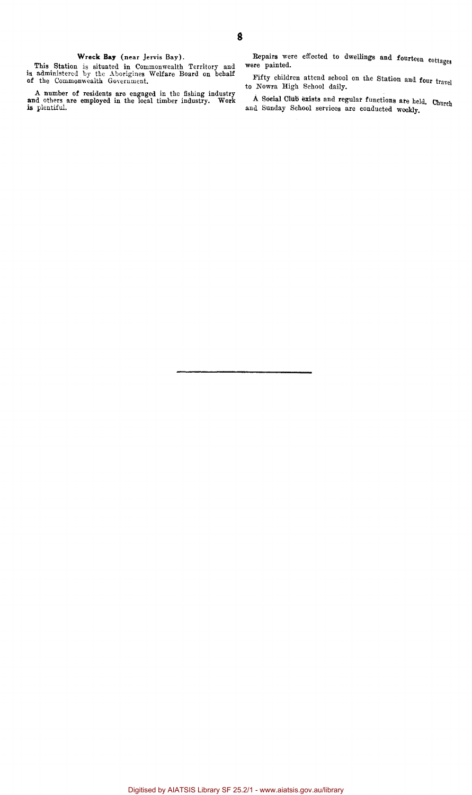# Wreck **Bay** (near Jervis Bay).

This Station is situated in Commonwealth Territory and is administered by the Aborigines Welfare Board on behalf of the Commonwealth Government.

A number of residents are engaged in the fishing industry and others are employed in the local timber industry. Work is plentiful.

Repairs were effected to dwellings and fourteen cottages were painted.

Fifty children attend school on the Station and four travel to Nowra High School daily.

A Social Club exists and regular functions ate held. Church and Sunday School services are conducted weekly.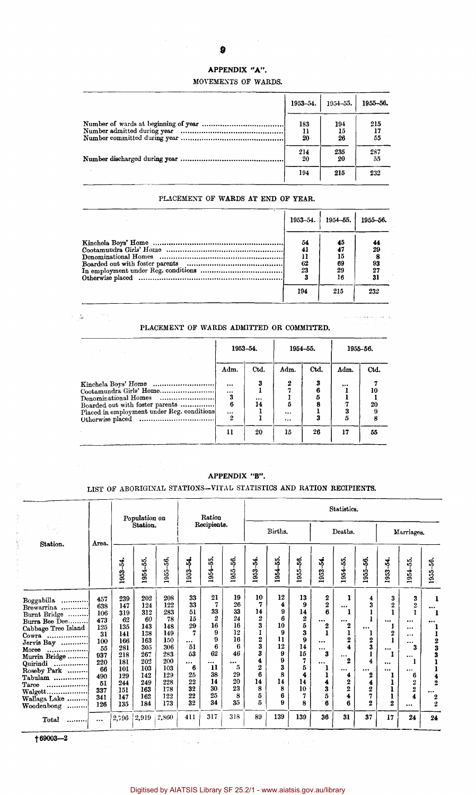## **9**

 $\hat{\mathcal{A}}$ 

# APPENDIX "A".

#### MOVEMENTS OF WARDS.

| 1953-54.        | $1954 - 55.$    | 1955-56.        |
|-----------------|-----------------|-----------------|
| 183<br>11<br>20 | 194<br>15<br>26 | 215<br>17<br>55 |
| 214<br>20       | 235<br>20       | 287<br>55       |
| 194             | 215             | 232             |

## PLACEMENT OF WARDS AT END OF YEAR.

| Service State State | 1953-54.                          | 1954 - 55.                              | 1955-56.        |
|---------------------|-----------------------------------|-----------------------------------------|-----------------|
|                     | 54<br>41<br>11<br>62<br>23<br>194 | 45<br>47<br>15<br>69<br>29<br>16<br>215 | 29<br>93<br>232 |

### PLACEMENT OF WARDS ADMITTED OR COMMITTED.

 $\label{eq:1} \rho_{\mathcal{A}} = \left\{ \phi \in \mathcal{A} \; \text{and} \; \phi \in \mathcal{A} \; \text{and} \; \phi \in \mathcal{A} \right\} \; \text{ and } \; \rho_{\mathcal{A}}$ 

|                                                                                                                                  | 1953-54.                       |             |               | 1954–55. | 1955-56. |          |  |
|----------------------------------------------------------------------------------------------------------------------------------|--------------------------------|-------------|---------------|----------|----------|----------|--|
|                                                                                                                                  | Adm.                           | Ctd.        | Adm.          | Ctd.     | Adm.     | Ctd.     |  |
| Cootamundra Girls' Home<br>Denominational Homes<br>Boarded out with foster parents<br>Placed in employment under Reg. conditions | $\cdots$<br>$\cdots$<br>3<br>6 | 3<br><br>14 | 2<br>5        | 6        | <br>3    | 10<br>20 |  |
|                                                                                                                                  | $\cdots$<br>$\overline{2}$     |             | <br>$\ddotsc$ |          | 5        |          |  |
|                                                                                                                                  | 11                             | 20          | 15            | 26       | 17       | 55       |  |

# APPENDIX "B".

# LIST OF ABORIGINAL STATIONS—VITAL STATISTICS AND RATION RECIPIENTS.

|                                                                                                                                                                                                                                                   |                                                                                                          |                                                                                                             | Population on                                                                                               |                                                                                                             |                                                                                                        | Ration                                                                                                        |                                                                                                 | Statistics.                                                                                                 |                                                                                                  |                                                                                                                 |                                                                                                                  |                                                                                                                                                                    |                                                                                                                                    |                                                                                           |                                                                                                                                                                                |                                                                                                                                          |
|---------------------------------------------------------------------------------------------------------------------------------------------------------------------------------------------------------------------------------------------------|----------------------------------------------------------------------------------------------------------|-------------------------------------------------------------------------------------------------------------|-------------------------------------------------------------------------------------------------------------|-------------------------------------------------------------------------------------------------------------|--------------------------------------------------------------------------------------------------------|---------------------------------------------------------------------------------------------------------------|-------------------------------------------------------------------------------------------------|-------------------------------------------------------------------------------------------------------------|--------------------------------------------------------------------------------------------------|-----------------------------------------------------------------------------------------------------------------|------------------------------------------------------------------------------------------------------------------|--------------------------------------------------------------------------------------------------------------------------------------------------------------------|------------------------------------------------------------------------------------------------------------------------------------|-------------------------------------------------------------------------------------------|--------------------------------------------------------------------------------------------------------------------------------------------------------------------------------|------------------------------------------------------------------------------------------------------------------------------------------|
|                                                                                                                                                                                                                                                   |                                                                                                          |                                                                                                             | Station.                                                                                                    |                                                                                                             |                                                                                                        | Recipients.                                                                                                   |                                                                                                 |                                                                                                             | Births.                                                                                          |                                                                                                                 |                                                                                                                  | Deaths.                                                                                                                                                            |                                                                                                                                    |                                                                                           | Marriages.                                                                                                                                                                     |                                                                                                                                          |
| Station.                                                                                                                                                                                                                                          | Area.                                                                                                    | ž,<br>1953                                                                                                  | $\ddot{\circ}$<br>1954                                                                                      | 56.<br>1955-                                                                                                | 1953-54.                                                                                               | 954-55.                                                                                                       | 1955-56.                                                                                        | 1953-54.                                                                                                    | 1954-55.                                                                                         | 1955-56.                                                                                                        | 1953-54.                                                                                                         | 1954-55.                                                                                                                                                           | 1955-56.                                                                                                                           | 1953-54.                                                                                  | 15.<br>1954                                                                                                                                                                    | \$<br>1955                                                                                                                               |
| Boggabilla<br><br>Brewarrina<br>Burnt Bridge<br>Burra Bee Dee<br>Cabbage Tree Island<br>Cowra<br>Jervis Bay<br>Moree<br>.<br>Murrin Bridge<br>Quirindi<br>.<br>Roseby Park<br>Tabulam<br>Taree<br>.<br>$Walget$<br>Wallaga Lake<br>Woodenbong<br> | 457<br>638<br>106<br>473<br>125<br>31<br>100<br>55<br>937<br>220<br>66<br>490<br>51<br>337<br>341<br>126 | 239<br>147<br>319<br>62<br>135<br>141<br>166<br>281<br>218<br>181<br>101<br>129<br>244<br>151<br>147<br>135 | 202<br>124<br>312<br>60<br>143<br>138<br>163<br>305<br>267<br>202<br>103<br>142<br>249<br>163<br>162<br>184 | 208<br>122<br>283<br>78<br>148<br>149<br>150<br>306<br>283<br>200<br>103<br>129<br>228<br>178<br>122<br>173 | 33<br>33<br>51<br>15<br>29<br>7<br>$\cdots$<br>51<br>53<br>$\cdots$<br>6<br>25<br>22<br>32<br>22<br>32 | 21<br>7<br>33<br>$\boldsymbol{2}$<br>16<br>9<br>9<br>6<br>62<br>$\ddotsc$<br>11<br>38<br>14<br>30<br>25<br>34 | 19<br>26<br>33<br>24<br>16<br>12<br>16<br>6<br>46<br>$\cdots$<br>5<br>29<br>20<br>23<br>8<br>35 | 10<br>7<br>14<br>2<br>3<br>1<br>$\boldsymbol{2}$<br>3<br>3<br>4<br>$\overline{2}$<br>6<br>14<br>8<br>5<br>5 | 12<br>4<br>9<br>R<br>10<br>9<br>11<br>12<br>9<br>$\boldsymbol{0}$<br>3<br>8<br>14<br>8<br>6<br>9 | 13<br>9<br>14<br>$\frac{2}{5}$<br>3<br>9<br>14<br>15<br>7<br>5<br>$\overline{\mathbf{4}}$<br>14<br>10<br>7<br>8 | 2<br>$\overline{2}$<br>6<br>$\cdots$<br>2<br>$\cdots$<br>$\cdots$<br>3<br>$\cdots$<br>ı<br>ı<br>4<br>3<br>5<br>6 | ı<br>$\cdots$<br>1<br><br>2<br>ı<br>$\boldsymbol{2}$<br>$\ddot{\textbf{4}}$<br><br>$\overline{2}$<br>$\cdots$<br>4<br>$\boldsymbol{2}$<br>$\overline{2}$<br>4<br>6 | 4<br>3<br>$\cdots$<br>ı<br>$\bf{2}$<br>3<br>1<br>4<br>$\cdots$<br>$\boldsymbol{2}$<br>4<br>$\boldsymbol{2}$<br>7<br>$\overline{2}$ | 3<br>$\overline{2}$<br><br>1<br>$\mathbf{2}$<br>$\cdots$<br>1<br><br>$\cdots$<br>$\bf{2}$ | 3<br>$\overline{2}$<br><sup>1</sup><br>$\cdots$<br>$\cdots$<br>$\cdots$<br>$\cdots$<br>3<br>$\cdots$<br>1<br><br>6<br>2<br>$\boldsymbol{2}$<br>$\ddot{\textbf{4}}$<br>$\cdots$ | 1<br>$\cdots$<br><br>1<br>$\begin{array}{c} 2 \ 3 \ 3 \end{array}$<br>ı<br>$\frac{4}{2}$<br>$\cdots$<br>$\overline{2}$<br>$\overline{2}$ |
| Total<br>.                                                                                                                                                                                                                                        | $\cdots$                                                                                                 | 2,796                                                                                                       | 2,919                                                                                                       | 2,860                                                                                                       | 411                                                                                                    | 317                                                                                                           | 318                                                                                             | 89                                                                                                          | 139                                                                                              | 139                                                                                                             | 36                                                                                                               | 31                                                                                                                                                                 | 37                                                                                                                                 | 17                                                                                        | 24                                                                                                                                                                             | 24                                                                                                                                       |

69003—2

2000年

**2. 《《神经》中的"**"。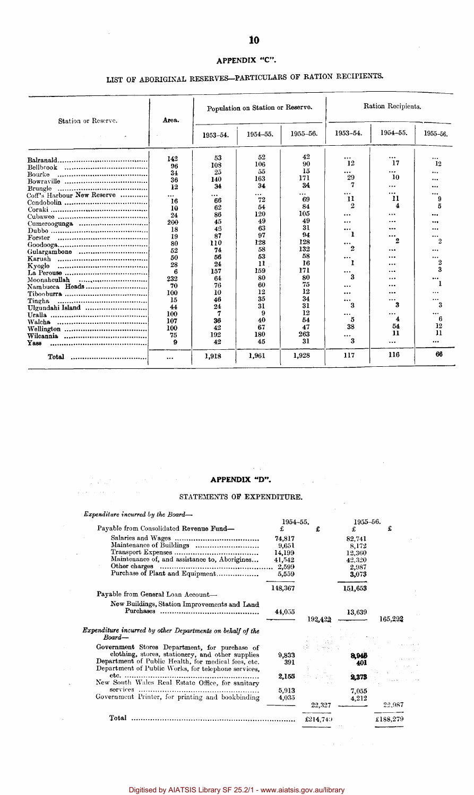# **APPENDIX "C".**

# LIST OF ABORIGINAL RESERVES-PARTICULARS OF RATION RECIPIENTS.

 $\sim$ 

 $\bar{\mathcal{A}}$ 

 $\bar{\omega}$ 

| Station or Reserve.        | Area.    |          | Population on Station or Reserve. |                | Ration Recipients. |           |          |  |
|----------------------------|----------|----------|-----------------------------------|----------------|--------------------|-----------|----------|--|
|                            |          | 1953-54. | 1954-55.                          | 1955-56.       | 1953-54.           | 1954-55.  | 1955-56. |  |
|                            | 142      | 53       | 52                                | 42             |                    | $\cdots$  |          |  |
|                            | 96       | 108      | 106                               | 90             | 12                 | 17        | 12       |  |
|                            | 34       | 25       | 55                                | 15             | $\cdots$           | $\ddotsc$ |          |  |
| Bourke                     |          | 140      | 163                               | 171            | 29                 | 10        |          |  |
|                            | 36       | 34       | 34                                | 34             | 7                  |           |          |  |
|                            | 12       |          |                                   |                | $\cdots$           | .         |          |  |
| Coff's Harbour New Reserve |          | $\cdots$ | $\cdots$<br>72                    | $\cdots$<br>69 | 11                 | 11        |          |  |
|                            | 16       | 66       | 54                                | 84             | 2                  | 4         |          |  |
|                            | 10       | 62       | 120                               | 105            |                    |           |          |  |
|                            | 24       | 86       |                                   | 49             |                    | .         |          |  |
|                            | 200      | 45       | 49                                | 31             | $\ddotsc$          | .         |          |  |
|                            | 18       | 46       | 63                                |                |                    |           |          |  |
|                            | 19       | 87       | 97                                | 94             |                    | <br>2     | 2        |  |
|                            | 80       | 110      | 128                               | 128            | $\cdots$           |           |          |  |
| Gulargambone               | 52       | 74       | 58                                | 132            | 2                  |           |          |  |
|                            | 50       | 56       | 53                                | 58             | $\cdots$           |           |          |  |
| Kvogle<br>                 | 28       | 24       | 11                                | 16             |                    |           | 2        |  |
|                            | 6        | 157      | 159                               | 171            | $\cdots$           |           | 3        |  |
|                            | 232      | 64       | 80                                | 80             | 3                  |           | $\cdots$ |  |
| Nambucca Heads             | 70       | 76       | 60                                | 75             |                    |           |          |  |
|                            | 100      | 10       | 12                                | 12             | .                  |           | $\cdots$ |  |
| Tingha<br>                 | 15       | 46       | 35                                | 34             | $\cdots$           |           |          |  |
| Ulgundahi Island           | 44       | 24       | 31                                | 31             | 3                  | 3         | 3        |  |
|                            | 100      | 7        | 9                                 | 12             |                    |           | $\cdots$ |  |
|                            | 107      | 36       | 40                                | 54             | 5                  | 4         | 6        |  |
|                            | 100      | 42       | 67                                | 47             | 38                 | 54        | 12       |  |
|                            | 75       | 192      | 180                               | 263            | $\cdots$           | 11        | 11       |  |
| Yass                       | 9        | 42       | 45                                | 31             | 3                  |           |          |  |
| Total                      | $\cdots$ | 1,918    | 1,961                             | 1,928          | 117                | 116       | 66       |  |

 $\sim$ 

 $\mathcal{L}$ 

# **APPENDIX "D".**<br> **APPENDIX "D".**<br> **APPENDIX OF DENTISYMENT** STATEMENTS OF EXPENDITURE.

| Expenditure incurred by the Board—                                                                                                                             |                                                       |          |                                                       |          |  |  |
|----------------------------------------------------------------------------------------------------------------------------------------------------------------|-------------------------------------------------------|----------|-------------------------------------------------------|----------|--|--|
|                                                                                                                                                                | 1954-55.                                              |          | 1955-56.                                              |          |  |  |
| Payable from Consolidated Revenue Fund-                                                                                                                        | £                                                     | £        | £                                                     | £        |  |  |
| Maintenance of Buildings<br>Maintenance of, and assistance to, Aborigines<br>Other charges<br>Purchase of Plant and Equipment                                  | 74,817<br>9,651<br>14,199<br>41,542<br>2,599<br>5,559 |          | 82,741<br>8.172<br>12,360<br>42,320<br>2,987<br>3,073 |          |  |  |
| Payable from General Loan Account-                                                                                                                             | 148,367                                               |          | 151,653                                               |          |  |  |
| New Buildings, Station Improvements and Land<br>Purchases                                                                                                      | 44,055                                                | 192,422  | 13,639                                                | 165,292  |  |  |
| Expenditure incurred by other Departments on behalf of the<br>Board-                                                                                           |                                                       |          |                                                       |          |  |  |
| Government Stores Department, for purchase of                                                                                                                  |                                                       |          |                                                       |          |  |  |
| clothing, stores, stationery, and other supplies<br>Department of Public Health, for medical fees, etc.<br>Department of Public Works, for telephone services, | 9,833<br>391                                          |          | 8.946<br>401                                          |          |  |  |
| New South Wales Real Estate Office, for sanitary                                                                                                               | 2,155                                                 |          | 2,373                                                 |          |  |  |
| services<br>Government Printer, for printing and bookbinding                                                                                                   | 5,913<br>4,035                                        |          | 7,055<br>4,212                                        | 22,987   |  |  |
|                                                                                                                                                                |                                                       | 22,327   |                                                       |          |  |  |
| Total                                                                                                                                                          |                                                       | £214,749 |                                                       | £188,279 |  |  |